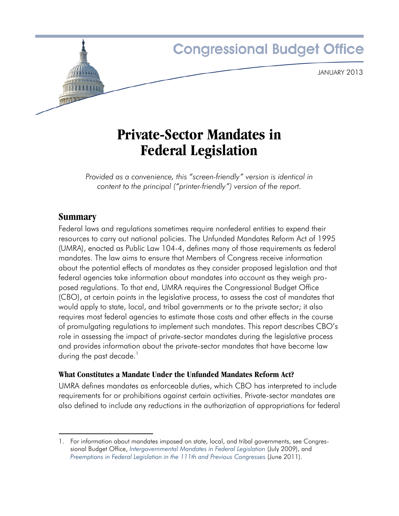

# **Private-Sector Mandates in Federal Legislation**

*Provided as a convenience, this "screen-friendly" version is identical in content to the principal ("printer-friendly") version of the report.*

# **Summary**

Federal laws and regulations sometimes require nonfederal entities to expend their resources to carry out national policies. The Unfunded Mandates Reform Act of 1995 (UMRA), enacted as Public Law 104-4, defines many of those requirements as federal mandates. The law aims to ensure that Members of Congress receive information about the potential effects of mandates as they consider proposed legislation and that federal agencies take information about mandates into account as they weigh proposed regulations. To that end, UMRA requires the Congressional Budget Office (CBO), at certain points in the legislative process, to assess the cost of mandates that would apply to state, local, and tribal governments or to the private sector; it also requires most federal agencies to estimate those costs and other effects in the course of promulgating regulations to implement such mandates. This report describes CBO's role in assessing the impact of private-sector mandates during the legislative process and provides information about the private-sector mandates that have become law during the past decade.<sup>1</sup>

## **What Constitutes a Mandate Under the Unfunded Mandates Reform Act?**

UMRA defines mandates as enforceable duties, which CBO has interpreted to include requirements for or prohibitions against certain activities. Private-sector mandates are also defined to include any reductions in the authorization of appropriations for federal

<sup>1.</sup> For information about mandates imposed on state, local, and tribal governments, see Congressional Budget Office, *[Intergovernmental Mandates in Federal Legislation](http://www.cbo.gov/publication/20919)* (July 2009), and *[Preemptions in Federal Legislation in the 111th and Previous Congresses](http://www.cbo.gov/publication/41462)* (June 2011).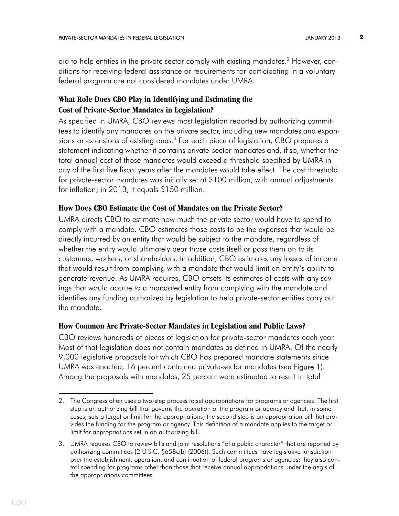aid to help entities in the private sector comply with existing mandates.<sup>2</sup> However, conditions for receiving federal assistance or requirements for participating in a voluntary federal program are not considered mandates under UMRA.

## **What Role Does CBO Play in Identifying and Estimating the Cost of Private-Sector Mandates in Legislation?**

As specified in UMRA, CBO reviews most legislation reported by authorizing committees to identify any mandates on the private sector, including new mandates and expansions or extensions of existing ones. $^3$  For each piece of legislation, CBO prepares a statement indicating whether it contains private-sector mandates and, if so, whether the total annual cost of those mandates would exceed a threshold specified by UMRA in any of the first five fiscal years after the mandates would take effect. The cost threshold for private-sector mandates was initially set at \$100 million, with annual adjustments for inflation; in 2013, it equals \$150 million.

### **How Does CBO Estimate the Cost of Mandates on the Private Sector?**

UMRA directs CBO to estimate how much the private sector would have to spend to comply with a mandate. CBO estimates those costs to be the expenses that would be directly incurred by an entity that would be subject to the mandate, regardless of whether the entity would ultimately bear those costs itself or pass them on to its customers, workers, or shareholders. In addition, CBO estimates any losses of income that would result from complying with a mandate that would limit an entity's ability to generate revenue. As UMRA requires, CBO offsets its estimates of costs with any savings that would accrue to a mandated entity from complying with the mandate and identifies any funding authorized by legislation to help private-sector entities carry out the mandate.

### **How Common Are Private-Sector Mandates in Legislation and Public Laws?**

<span id="page-1-0"></span>CBO reviews hundreds of pieces of legislation for private-sector mandates each year. Most of that legislation does not contain mandates as defined in UMRA. Of the nearly 9,000 legislative proposals for which CBO has prepared mandate statements since UMRA was enacted, 16 percent contained private-sector mandates (see [Figure 1](#page-13-0)). Among the proposals with mandates, 25 percent were estimated to result in total

<sup>2.</sup> The Congress often uses a two-step process to set appropriations for programs or agencies. The first step is an authorizing bill that governs the operation of the program or agency and that, in some cases, sets a target or limit for the appropriations; the second step is an appropriation bill that provides the funding for the program or agency. This definition of a mandate applies to the target or limit for appropriations set in an authorizing bill.

<sup>3.</sup> UMRA requires CBO to review bills and joint resolutions "of a public character" that are reported by authorizing committees [2 U.S.C. §658c(b) (2006)]. Such committees have legislative jurisdiction over the establishment, operation, and continuation of federal programs or agencies; they also control spending for programs other than those that receive annual appropriations under the aegis of the appropriations committees.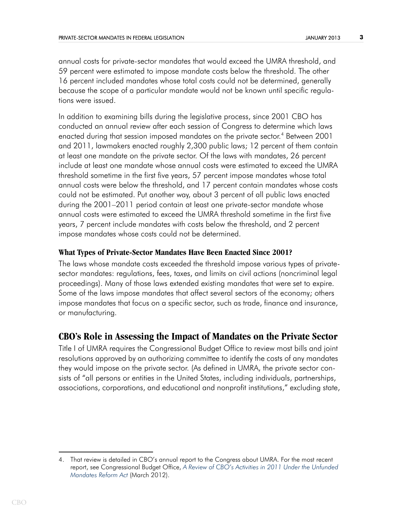annual costs for private-sector mandates that would exceed the UMRA threshold, and 59 percent were estimated to impose mandate costs below the threshold. The other 16 percent included mandates whose total costs could not be determined, generally because the scope of a particular mandate would not be known until specific regulations were issued.

In addition to examining bills during the legislative process, since 2001 CBO has conducted an annual review after each session of Congress to determine which laws enacted during that session imposed mandates on the private sector. $\mathrm{^4}$  Between 2001 and 2011, lawmakers enacted roughly 2,300 public laws; 12 percent of them contain at least one mandate on the private sector. Of the laws with mandates, 26 percent include at least one mandate whose annual costs were estimated to exceed the UMRA threshold sometime in the first five years, 57 percent impose mandates whose total annual costs were below the threshold, and 17 percent contain mandates whose costs could not be estimated. Put another way, about 3 percent of all public laws enacted during the 2001–2011 period contain at least one private-sector mandate whose annual costs were estimated to exceed the UMRA threshold sometime in the first five years, 7 percent include mandates with costs below the threshold, and 2 percent impose mandates whose costs could not be determined.

### **What Types of Private-Sector Mandates Have Been Enacted Since 2001?**

The laws whose mandate costs exceeded the threshold impose various types of privatesector mandates: regulations, fees, taxes, and limits on civil actions (noncriminal legal proceedings). Many of those laws extended existing mandates that were set to expire. Some of the laws impose mandates that affect several sectors of the economy; others impose mandates that focus on a specific sector, such as trade, finance and insurance, or manufacturing.

## **CBO's Role in Assessing the Impact of Mandates on the Private Sector**

Title I of UMRA requires the Congressional Budget Office to review most bills and joint resolutions approved by an authorizing committee to identify the costs of any mandates they would impose on the private sector. (As defined in UMRA, the private sector consists of "all persons or entities in the United States, including individuals, partnerships, associations, corporations, and educational and nonprofit institutions," excluding state,

<sup>4.</sup> That review is detailed in CBO's annual report to the Congress about UMRA. For the most recent report, see Congressional Budget Office, *[A Review of CBO's Activities in 2011 Under the Unfunded](http://www.cbo.gov/publication/43140)  [Mandates Reform Act](http://www.cbo.gov/publication/43140)* (March 2012).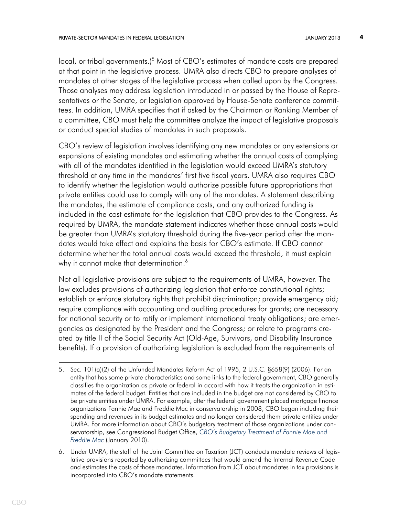local, or tribal governments.)<sup>5</sup> Most of CBO's estimates of mandate costs are prepared at that point in the legislative process. UMRA also directs CBO to prepare analyses of mandates at other stages of the legislative process when called upon by the Congress. Those analyses may address legislation introduced in or passed by the House of Representatives or the Senate, or legislation approved by House-Senate conference committees. In addition, UMRA specifies that if asked by the Chairman or Ranking Member of a committee, CBO must help the committee analyze the impact of legislative proposals or conduct special studies of mandates in such proposals.

CBO's review of legislation involves identifying any new mandates or any extensions or expansions of existing mandates and estimating whether the annual costs of complying with all of the mandates identified in the legislation would exceed UMRA's statutory threshold at any time in the mandates' first five fiscal years. UMRA also requires CBO to identify whether the legislation would authorize possible future appropriations that private entities could use to comply with any of the mandates. A statement describing the mandates, the estimate of compliance costs, and any authorized funding is included in the cost estimate for the legislation that CBO provides to the Congress. As required by UMRA, the mandate statement indicates whether those annual costs would be greater than UMRA's statutory threshold during the five-year period after the mandates would take effect and explains the basis for CBO's estimate. If CBO cannot determine whether the total annual costs would exceed the threshold, it must explain why it cannot make that determination.<sup>6</sup>

Not all legislative provisions are subject to the requirements of UMRA, however. The law excludes provisions of authorizing legislation that enforce constitutional rights; establish or enforce statutory rights that prohibit discrimination; provide emergency aid; require compliance with accounting and auditing procedures for grants; are necessary for national security or to ratify or implement international treaty obligations; are emergencies as designated by the President and the Congress; or relate to programs created by title II of the Social Security Act (Old-Age, Survivors, and Disability Insurance benefits). If a provision of authorizing legislation is excluded from the requirements of

<sup>5.</sup> Sec. 101(a)(2) of the Unfunded Mandates Reform Act of 1995, 2 U.S.C. §658(9) (2006). For an entity that has some private characteristics and some links to the federal government, CBO generally classifies the organization as private or federal in accord with how it treats the organization in estimates of the federal budget. Entities that are included in the budget are not considered by CBO to be private entities under UMRA. For example, after the federal government placed mortgage finance organizations Fannie Mae and Freddie Mac in conservatorship in 2008, CBO began including their spending and revenues in its budget estimates and no longer considered them private entities under UMRA. For more information about CBO's budgetary treatment of those organizations under conservatorship, see Congressional Budget Office, *[CBO's Budgetary Treatment of Fannie Mae and](http://www.cbo.gov/publication/41887)  [Freddie Mac](http://www.cbo.gov/publication/41887)* (January 2010).

<sup>6.</sup> Under UMRA, the staff of the Joint Committee on Taxation (JCT) conducts mandate reviews of legislative provisions reported by authorizing committees that would amend the Internal Revenue Code and estimates the costs of those mandates. Information from JCT about mandates in tax provisions is incorporated into CBO's mandate statements.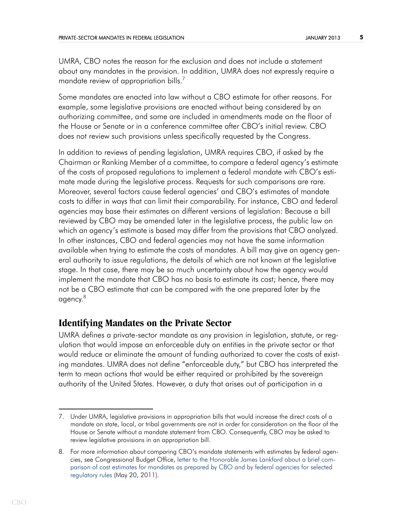UMRA, CBO notes the reason for the exclusion and does not include a statement about any mandates in the provision. In addition, UMRA does not expressly require a mandate review of appropriation bills.<sup>7</sup>

Some mandates are enacted into law without a CBO estimate for other reasons. For example, some legislative provisions are enacted without being considered by an authorizing committee, and some are included in amendments made on the floor of the House or Senate or in a conference committee after CBO's initial review. CBO does not review such provisions unless specifically requested by the Congress.

In addition to reviews of pending legislation, UMRA requires CBO, if asked by the Chairman or Ranking Member of a committee, to compare a federal agency's estimate of the costs of proposed regulations to implement a federal mandate with CBO's estimate made during the legislative process. Requests for such comparisons are rare. Moreover, several factors cause federal agencies' and CBO's estimates of mandate costs to differ in ways that can limit their comparability. For instance, CBO and federal agencies may base their estimates on different versions of legislation: Because a bill reviewed by CBO may be amended later in the legislative process, the public law on which an agency's estimate is based may differ from the provisions that CBO analyzed. In other instances, CBO and federal agencies may not have the same information available when trying to estimate the costs of mandates. A bill may give an agency general authority to issue regulations, the details of which are not known at the legislative stage. In that case, there may be so much uncertainty about how the agency would implement the mandate that CBO has no basis to estimate its cost; hence, there may not be a CBO estimate that can be compared with the one prepared later by the agency.8

# **Identifying Mandates on the Private Sector**

UMRA defines a private-sector mandate as any provision in legislation, statute, or regulation that would impose an enforceable duty on entities in the private sector or that would reduce or eliminate the amount of funding authorized to cover the costs of existing mandates. UMRA does not define "enforceable duty," but CBO has interpreted the term to mean actions that would be either required or prohibited by the sovereign authority of the United States. However, a duty that arises out of participation in a

<sup>7.</sup> Under UMRA, legislative provisions in appropriation bills that would increase the direct costs of a mandate on state, local, or tribal governments are not in order for consideration on the floor of the House or Senate without a mandate statement from CBO. Consequently, CBO may be asked to review legislative provisions in an appropriation bill.

<sup>8.</sup> For more information about comparing CBO's mandate statements with estimates by federal agencies, see Congressional Budget Office, [letter to the Honorable James Lankford about a brief com](http://www.cbo.gov/publication/41475)[parison of cost estimates for mandates as prepared by CBO and by federal agencies for selected](http://www.cbo.gov/publication/41475)  [regulatory rules](http://www.cbo.gov/publication/41475) (May 20, 2011).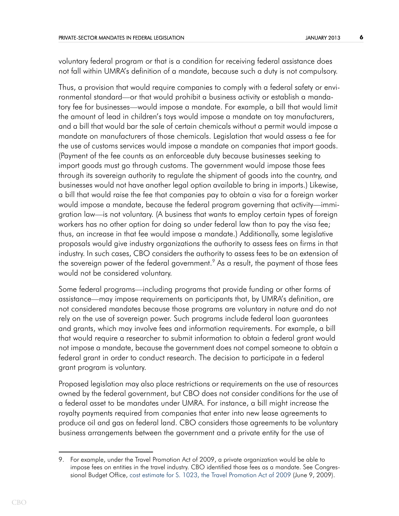voluntary federal program or that is a condition for receiving federal assistance does not fall within UMRA's definition of a mandate, because such a duty is not compulsory.

Thus, a provision that would require companies to comply with a federal safety or environmental standard—or that would prohibit a business activity or establish a mandatory fee for businesses—would impose a mandate. For example, a bill that would limit the amount of lead in children's toys would impose a mandate on toy manufacturers, and a bill that would bar the sale of certain chemicals without a permit would impose a mandate on manufacturers of those chemicals. Legislation that would assess a fee for the use of customs services would impose a mandate on companies that import goods. (Payment of the fee counts as an enforceable duty because businesses seeking to import goods must go through customs. The government would impose those fees through its sovereign authority to regulate the shipment of goods into the country, and businesses would not have another legal option available to bring in imports.) Likewise, a bill that would raise the fee that companies pay to obtain a visa for a foreign worker would impose a mandate, because the federal program governing that activity—immigration law—is not voluntary. (A business that wants to employ certain types of foreign workers has no other option for doing so under federal law than to pay the visa fee; thus, an increase in that fee would impose a mandate.) Additionally, some legislative proposals would give industry organizations the authority to assess fees on firms in that industry. In such cases, CBO considers the authority to assess fees to be an extension of the sovereign power of the federal government. $\textsuperscript{9}$  As a result, the payment of those fees would not be considered voluntary.

Some federal programs—including programs that provide funding or other forms of assistance—may impose requirements on participants that, by UMRA's definition, are not considered mandates because those programs are voluntary in nature and do not rely on the use of sovereign power. Such programs include federal loan guarantees and grants, which may involve fees and information requirements. For example, a bill that would require a researcher to submit information to obtain a federal grant would not impose a mandate, because the government does not compel someone to obtain a federal grant in order to conduct research. The decision to participate in a federal grant program is voluntary.

Proposed legislation may also place restrictions or requirements on the use of resources owned by the federal government, but CBO does not consider conditions for the use of a federal asset to be mandates under UMRA. For instance, a bill might increase the royalty payments required from companies that enter into new lease agreements to produce oil and gas on federal land. CBO considers those agreements to be voluntary business arrangements between the government and a private entity for the use of

<sup>9.</sup> For example, under the Travel Promotion Act of 2009, a private organization would be able to impose fees on entities in the travel industry. CBO identified those fees as a mandate. See Congressional Budget Office, [cost estimate for S. 1023, the Travel Promotion Act of 2009](http://www.cbo.gov/publication/20772) (June 9, 2009).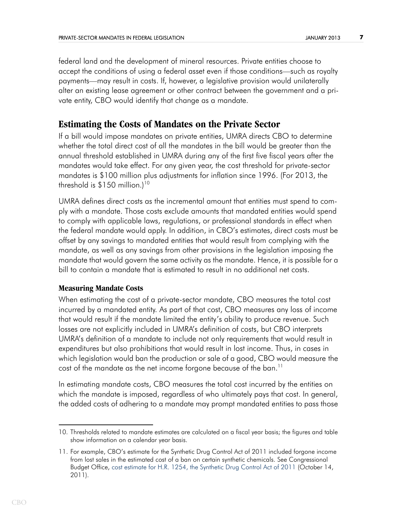federal land and the development of mineral resources. Private entities choose to accept the conditions of using a federal asset even if those conditions—such as royalty payments—may result in costs. If, however, a legislative provision would unilaterally alter an existing lease agreement or other contract between the government and a private entity, CBO would identify that change as a mandate.

# **Estimating the Costs of Mandates on the Private Sector**

If a bill would impose mandates on private entities, UMRA directs CBO to determine whether the total direct cost of all the mandates in the bill would be greater than the annual threshold established in UMRA during any of the first five fiscal years after the mandates would take effect. For any given year, the cost threshold for private-sector mandates is \$100 million plus adjustments for inflation since 1996. (For 2013, the threshold is  $$150$  million.)<sup>10</sup>

UMRA defines direct costs as the incremental amount that entities must spend to comply with a mandate. Those costs exclude amounts that mandated entities would spend to comply with applicable laws, regulations, or professional standards in effect when the federal mandate would apply. In addition, in CBO's estimates, direct costs must be offset by any savings to mandated entities that would result from complying with the mandate, as well as any savings from other provisions in the legislation imposing the mandate that would govern the same activity as the mandate. Hence, it is possible for a bill to contain a mandate that is estimated to result in no additional net costs.

### **Measuring Mandate Costs**

When estimating the cost of a private-sector mandate, CBO measures the total cost incurred by a mandated entity. As part of that cost, CBO measures any loss of income that would result if the mandate limited the entity's ability to produce revenue. Such losses are not explicitly included in UMRA's definition of costs, but CBO interprets UMRA's definition of a mandate to include not only requirements that would result in expenditures but also prohibitions that would result in lost income. Thus, in cases in which legislation would ban the production or sale of a good, CBO would measure the cost of the mandate as the net income forgone because of the ban.<sup>11</sup>

In estimating mandate costs, CBO measures the total cost incurred by the entities on which the mandate is imposed, regardless of who ultimately pays that cost. In general, the added costs of adhering to a mandate may prompt mandated entities to pass those

<sup>10.</sup> Thresholds related to mandate estimates are calculated on a fiscal year basis; the figures and table show information on a calendar year basis.

<sup>11.</sup> For example, CBO's estimate for the Synthetic Drug Control Act of 2011 included forgone income from lost sales in the estimated cost of a ban on certain synthetic chemicals. See Congressional Budget Office, [cost estimate for H.R. 1254, the Synthetic Drug Control Act of 2011](http://www.cbo.gov/publication/42652) (October 14, 2011).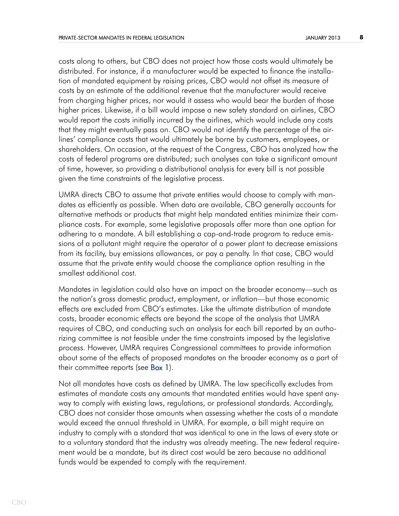costs along to others, but CBO does not project how those costs would ultimately be distributed. For instance, if a manufacturer would be expected to finance the installation of mandated equipment by raising prices, CBO would not offset its measure of costs by an estimate of the additional revenue that the manufacturer would receive from charging higher prices, nor would it assess who would bear the burden of those higher prices. Likewise, if a bill would impose a new safety standard on airlines, CBO would report the costs initially incurred by the airlines, which would include any costs that they might eventually pass on. CBO would not identify the percentage of the airlines' compliance costs that would ultimately be borne by customers, employees, or shareholders. On occasion, at the request of the Congress, CBO has analyzed how the costs of federal programs are distributed; such analyses can take a significant amount of time, however, so providing a distributional analysis for every bill is not possible given the time constraints of the legislative process.

UMRA directs CBO to assume that private entities would choose to comply with mandates as efficiently as possible. When data are available, CBO generally accounts for alternative methods or products that might help mandated entities minimize their compliance costs. For example, some legislative proposals offer more than one option for adhering to a mandate. A bill establishing a cap-and-trade program to reduce emissions of a pollutant might require the operator of a power plant to decrease emissions from its facility, buy emissions allowances, or pay a penalty. In that case, CBO would assume that the private entity would choose the compliance option resulting in the smallest additional cost.

Mandates in legislation could also have an impact on the broader economy—such as the nation's gross domestic product, employment, or inflation—but those economic effects are excluded from CBO's estimates. Like the ultimate distribution of mandate costs, broader economic effects are beyond the scope of the analysis that UMRA requires of CBO, and conducting such an analysis for each bill reported by an authorizing committee is not feasible under the time constraints imposed by the legislative process. However, UMRA requires Congressional committees to provide information about some of the effects of proposed mandates on the broader economy as a part of their committee reports (see [Box 1\)](#page-14-0).

<span id="page-7-0"></span>Not all mandates have costs as defined by UMRA. The law specifically excludes from estimates of mandate costs any amounts that mandated entities would have spent anyway to comply with existing laws, regulations, or professional standards. Accordingly, CBO does not consider those amounts when assessing whether the costs of a mandate would exceed the annual threshold in UMRA. For example, a bill might require an industry to comply with a standard that was identical to one in the laws of every state or to a voluntary standard that the industry was already meeting. The new federal requirement would be a mandate, but its direct cost would be zero because no additional funds would be expended to comply with the requirement.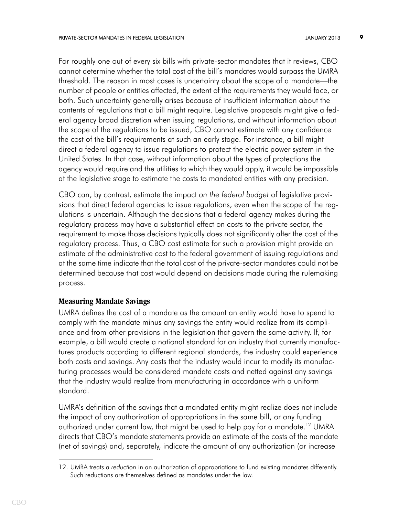For roughly one out of every six bills with private-sector mandates that it reviews, CBO cannot determine whether the total cost of the bill's mandates would surpass the UMRA threshold. The reason in most cases is uncertainty about the scope of a mandate—the number of people or entities affected, the extent of the requirements they would face, or both. Such uncertainty generally arises because of insufficient information about the contents of regulations that a bill might require. Legislative proposals might give a federal agency broad discretion when issuing regulations, and without information about the scope of the regulations to be issued, CBO cannot estimate with any confidence the cost of the bill's requirements at such an early stage. For instance, a bill might direct a federal agency to issue regulations to protect the electric power system in the United States. In that case, without information about the types of protections the agency would require and the utilities to which they would apply, it would be impossible at the legislative stage to estimate the costs to mandated entities with any precision.

CBO can, by contrast, estimate the impact *on the federal budget* of legislative provisions that direct federal agencies to issue regulations, even when the scope of the regulations is uncertain. Although the decisions that a federal agency makes during the regulatory process may have a substantial effect on costs to the private sector, the requirement to make those decisions typically does not significantly alter the cost of the regulatory process. Thus, a CBO cost estimate for such a provision might provide an estimate of the administrative cost to the federal government of issuing regulations and at the same time indicate that the total cost of the private-sector mandates could not be determined because that cost would depend on decisions made during the rulemaking process.

### **Measuring Mandate Savings**

UMRA defines the cost of a mandate as the amount an entity would have to spend to comply with the mandate minus any savings the entity would realize from its compliance and from other provisions in the legislation that govern the same activity. If, for example, a bill would create a national standard for an industry that currently manufactures products according to different regional standards, the industry could experience both costs and savings. Any costs that the industry would incur to modify its manufacturing processes would be considered mandate costs and netted against any savings that the industry would realize from manufacturing in accordance with a uniform standard.

UMRA's definition of the savings that a mandated entity might realize does not include the impact of any authorization of appropriations in the same bill, or any funding authorized under current law, that might be used to help pay for a mandate.<sup>12</sup> UMRA directs that CBO's mandate statements provide an estimate of the costs of the mandate (net of savings) and, separately, indicate the amount of any authorization (or increase

<sup>12.</sup> UMRA treats a *reduction* in an authorization of appropriations to fund existing mandates differently. Such reductions are themselves defined as mandates under the law.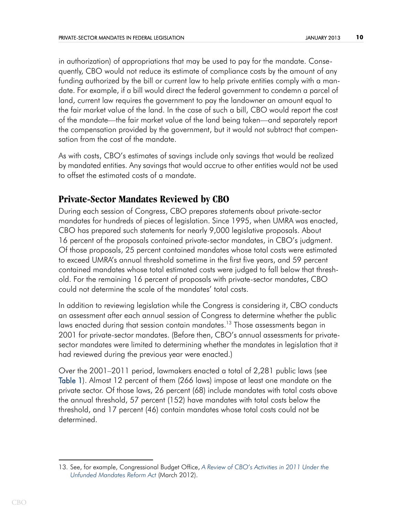in authorization) of appropriations that may be used to pay for the mandate. Consequently, CBO would not reduce its estimate of compliance costs by the amount of any funding authorized by the bill or current law to help private entities comply with a mandate. For example, if a bill would direct the federal government to condemn a parcel of land, current law requires the government to pay the landowner an amount equal to the fair market value of the land. In the case of such a bill, CBO would report the cost of the mandate—the fair market value of the land being taken—and separately report the compensation provided by the government, but it would not subtract that compensation from the cost of the mandate.

As with costs, CBO's estimates of savings include only savings that would be realized by mandated entities. Any savings that would accrue to other entities would not be used to offset the estimated costs of a mandate.

# **Private-Sector Mandates Reviewed by CBO**

During each session of Congress, CBO prepares statements about private-sector mandates for hundreds of pieces of legislation. Since 1995, when UMRA was enacted, CBO has prepared such statements for nearly 9,000 legislative proposals. About 16 percent of the proposals contained private-sector mandates, in CBO's judgment. Of those proposals, 25 percent contained mandates whose total costs were estimated to exceed UMRA's annual threshold sometime in the first five years, and 59 percent contained mandates whose total estimated costs were judged to fall below that threshold. For the remaining 16 percent of proposals with private-sector mandates, CBO could not determine the scale of the mandates' total costs.

In addition to reviewing legislation while the Congress is considering it, CBO conducts an assessment after each annual session of Congress to determine whether the public laws enacted during that session contain mandates.<sup>13</sup> Those assessments began in 2001 for private-sector mandates. (Before then, CBO's annual assessments for privatesector mandates were limited to determining whether the mandates in legislation that it had reviewed during the previous year were enacted.)

<span id="page-9-0"></span>Over the 2001–2011 period, lawmakers enacted a total of 2,281 public laws (see [Table 1\)](#page-15-0). Almost 12 percent of them (266 laws) impose at least one mandate on the private sector. Of those laws, 26 percent (68) include mandates with total costs above the annual threshold, 57 percent (152) have mandates with total costs below the threshold, and 17 percent (46) contain mandates whose total costs could not be determined.

<sup>13.</sup> See, for example, Congressional Budget Office, *[A Review of CBO's Activities in 2011 Under the](http://www.cbo.gov/publication/43140)  [Unfunded Mandates Reform Act](http://www.cbo.gov/publication/43140)* (March 2012).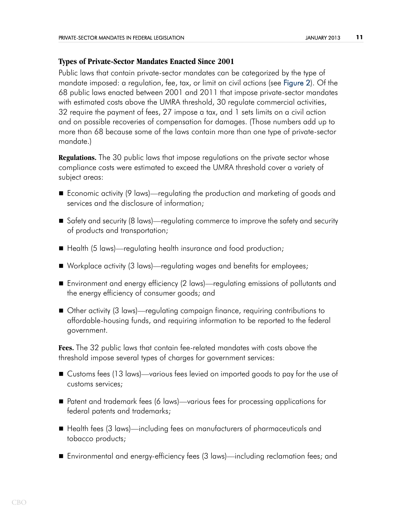### **Types of Private-Sector Mandates Enacted Since 2001**

<span id="page-10-0"></span>Public laws that contain private-sector mandates can be categorized by the type of mandate imposed: a regulation, fee, tax, or limit on civil actions (see [Figure 2](#page-16-0)). Of the 68 public laws enacted between 2001 and 2011 that impose private-sector mandates with estimated costs above the UMRA threshold, 30 regulate commercial activities, 32 require the payment of fees, 27 impose a tax, and 1 sets limits on a civil action and on possible recoveries of compensation for damages. (Those numbers add up to more than 68 because some of the laws contain more than one type of private-sector mandate.)

**Regulations.** The 30 public laws that impose regulations on the private sector whose compliance costs were estimated to exceed the UMRA threshold cover a variety of subject areas:

- Economic activity (9 laws)—regulating the production and marketing of goods and services and the disclosure of information;
- Safety and security (8 laws)—regulating commerce to improve the safety and security of products and transportation;
- Health (5 laws)—regulating health insurance and food production;
- Workplace activity (3 laws)—regulating wages and benefits for employees;
- Environment and energy efficiency (2 laws)—regulating emissions of pollutants and the energy efficiency of consumer goods; and
- Other activity (3 laws)—regulating campaign finance, requiring contributions to affordable-housing funds, and requiring information to be reported to the federal government.

**Fees.** The 32 public laws that contain fee-related mandates with costs above the threshold impose several types of charges for government services:

- Customs fees (13 laws)—various fees levied on imported goods to pay for the use of customs services;
- Patent and trademark fees (6 laws)—various fees for processing applications for federal patents and trademarks;
- Health fees (3 laws)—including fees on manufacturers of pharmaceuticals and tobacco products;
- Environmental and energy-efficiency fees (3 laws)—including reclamation fees; and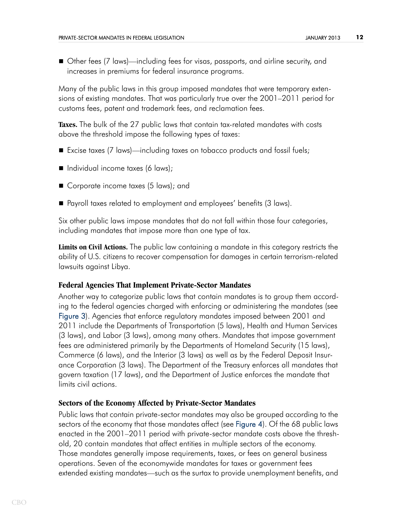■ Other fees (7 laws)—including fees for visas, passports, and airline security, and increases in premiums for federal insurance programs.

Many of the public laws in this group imposed mandates that were temporary extensions of existing mandates. That was particularly true over the 2001–2011 period for customs fees, patent and trademark fees, and reclamation fees.

**Taxes.** The bulk of the 27 public laws that contain tax-related mandates with costs above the threshold impose the following types of taxes:

- Excise taxes (7 laws)—including taxes on tobacco products and fossil fuels;
- Individual income taxes (6 laws);
- Corporate income taxes (5 laws); and
- Payroll taxes related to employment and employees' benefits (3 laws).

Six other public laws impose mandates that do not fall within those four categories, including mandates that impose more than one type of tax.

**Limits on Civil Actions.** The public law containing a mandate in this category restricts the ability of U.S. citizens to recover compensation for damages in certain terrorism-related lawsuits against Libya.

### **Federal Agencies That Implement Private-Sector Mandates**

<span id="page-11-0"></span>Another way to categorize public laws that contain mandates is to group them according to the federal agencies charged with enforcing or administering the mandates (see [Figure 3](#page-17-0)). Agencies that enforce regulatory mandates imposed between 2001 and 2011 include the Departments of Transportation (5 laws), Health and Human Services (3 laws), and Labor (3 laws), among many others. Mandates that impose government fees are administered primarily by the Departments of Homeland Security (15 laws), Commerce (6 laws), and the Interior (3 laws) as well as by the Federal Deposit Insurance Corporation (3 laws). The Department of the Treasury enforces all mandates that govern taxation (17 laws), and the Department of Justice enforces the mandate that limits civil actions.

### **Sectors of the Economy Affected by Private-Sector Mandates**

<span id="page-11-1"></span>Public laws that contain private-sector mandates may also be grouped according to the sectors of the economy that those mandates affect (see [Figure 4](#page-18-0)). Of the 68 public laws enacted in the 2001–2011 period with private-sector mandate costs above the threshold, 20 contain mandates that affect entities in multiple sectors of the economy. Those mandates generally impose requirements, taxes, or fees on general business operations. Seven of the economywide mandates for taxes or government fees extended existing mandates—such as the surtax to provide unemployment benefits, and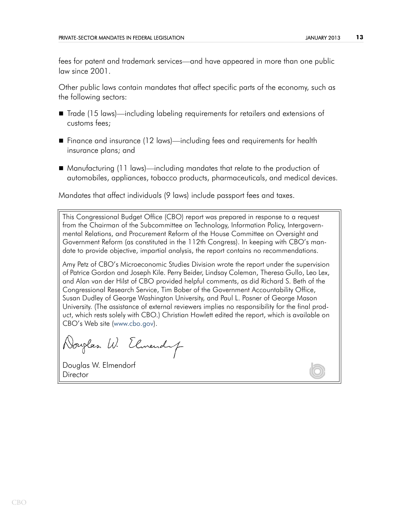fees for patent and trademark services—and have appeared in more than one public law since 2001.

Other public laws contain mandates that affect specific parts of the economy, such as the following sectors:

- Trade (15 laws)—including labeling requirements for retailers and extensions of customs fees;
- Finance and insurance (12 laws)—including fees and requirements for health insurance plans; and
- Manufacturing (11 laws)—including mandates that relate to the production of automobiles, appliances, tobacco products, pharmaceuticals, and medical devices.

Mandates that affect individuals (9 laws) include passport fees and taxes.

This Congressional Budget Office (CBO) report was prepared in response to a request from the Chairman of the Subcommittee on Technology, Information Policy, Intergovernmental Relations, and Procurement Reform of the House Committee on Oversight and Government Reform (as constituted in the 112th Congress). In keeping with CBO's mandate to provide objective, impartial analysis, the report contains no recommendations.

Amy Petz of CBO's Microeconomic Studies Division wrote the report under the supervision of Patrice Gordon and Joseph Kile. Perry Beider, Lindsay Coleman, Theresa Gullo, Leo Lex, and Alan van der Hilst of CBO provided helpful comments, as did Richard S. Beth of the Congressional Research Service, Tim Bober of the Government Accountability Office, Susan Dudley of George Washington University, and Paul L. Posner of George Mason University. (The assistance of external reviewers implies no responsibility for the final product, which rests solely with CBO.) Christian Howlett edited the report, which is available on CBO's Web site ([www.cbo.gov\)](http://www.cbo.gov).

Nouglas W. Elmendy

Douglas W. Elmendorf **Director**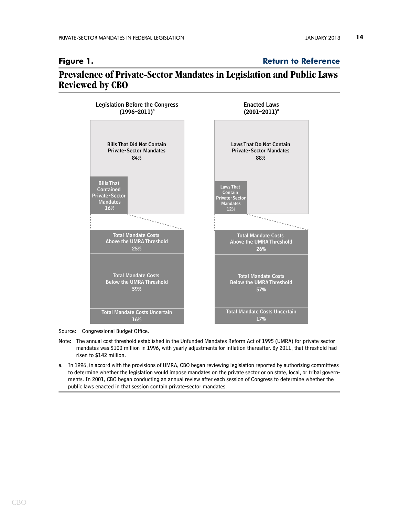<span id="page-13-0"></span>**Figure 1. [Return to Reference](#page-1-0)** 

# **Prevalence of Private-Sector Mandates in Legislation and Public Laws Reviewed by CBO**



Source: Congressional Budget Office.

- Note: The annual cost threshold established in the Unfunded Mandates Reform Act of 1995 (UMRA) for private-sector mandates was \$100 million in 1996, with yearly adjustments for inflation thereafter. By 2011, that threshold had risen to \$142 million.
- a. In 1996, in accord with the provisions of UMRA, CBO began reviewing legislation reported by authorizing committees to determine whether the legislation would impose mandates on the private sector or on state, local, or tribal governments. In 2001, CBO began conducting an annual review after each session of Congress to determine whether the public laws enacted in that session contain private-sector mandates.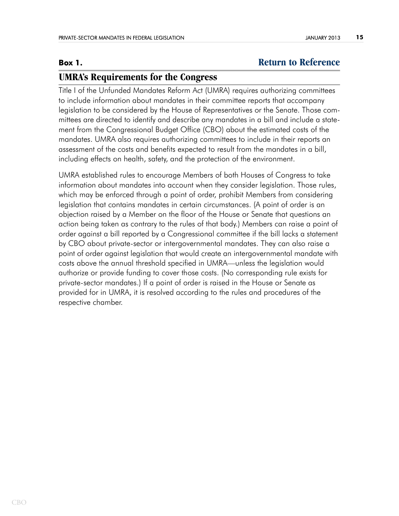# **Box 1. [Return to Reference](#page-7-0)**

# <span id="page-14-0"></span>**UMRA's Requirements for the Congress**

Title I of the Unfunded Mandates Reform Act (UMRA) requires authorizing committees to include information about mandates in their committee reports that accompany legislation to be considered by the House of Representatives or the Senate. Those committees are directed to identify and describe any mandates in a bill and include a statement from the Congressional Budget Office (CBO) about the estimated costs of the mandates. UMRA also requires authorizing committees to include in their reports an assessment of the costs and benefits expected to result from the mandates in a bill, including effects on health, safety, and the protection of the environment.

UMRA established rules to encourage Members of both Houses of Congress to take information about mandates into account when they consider legislation. Those rules, which may be enforced through a point of order, prohibit Members from considering legislation that contains mandates in certain circumstances. (A point of order is an objection raised by a Member on the floor of the House or Senate that questions an action being taken as contrary to the rules of that body.) Members can raise a point of order against a bill reported by a Congressional committee if the bill lacks a statement by CBO about private-sector or intergovernmental mandates. They can also raise a point of order against legislation that would create an intergovernmental mandate with costs above the annual threshold specified in UMRA—unless the legislation would authorize or provide funding to cover those costs. (No corresponding rule exists for private-sector mandates.) If a point of order is raised in the House or Senate as provided for in UMRA, it is resolved according to the rules and procedures of the respective chamber.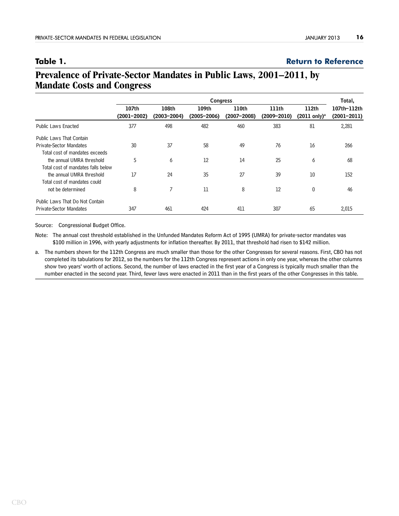### <span id="page-15-0"></span>**Table 1. [Return to Reference](#page-9-0)**

# **Prevalence of Private-Sector Mandates in Public Laws, 2001–2011, by Mandate Costs and Congress**

|                                    | <b>Congress</b>          |                          |                          |                          |                          |                                               | Total,                         |
|------------------------------------|--------------------------|--------------------------|--------------------------|--------------------------|--------------------------|-----------------------------------------------|--------------------------------|
|                                    | 107th<br>$(2001 - 2002)$ | 108th<br>$(2003 - 2004)$ | 109th<br>$(2005 - 2006)$ | 110th<br>$(2007 - 2008)$ | 111th<br>$(2009 - 2010)$ | 112 <sub>th</sub><br>(2011 only) <sup>a</sup> | 107th-112th<br>$(2001 - 2011)$ |
| <b>Public Laws Enacted</b>         | 377                      | 498                      | 482                      | 460                      | 383                      | 81                                            | 2,281                          |
| <b>Public Laws That Contain</b>    |                          |                          |                          |                          |                          |                                               |                                |
| Private-Sector Mandates            | 30                       | 37                       | 58                       | 49                       | 76                       | 16                                            | 266                            |
| Total cost of mandates exceeds     |                          |                          |                          |                          |                          |                                               |                                |
| the annual UMRA threshold          | 5                        | 6                        | 12                       | 14                       | 25                       | 6                                             | 68                             |
| Total cost of mandates falls below |                          |                          |                          |                          |                          |                                               |                                |
| the annual UMRA threshold          | 17                       | 24                       | 35                       | 27                       | 39                       | 10                                            | 152                            |
| Total cost of mandates could       |                          |                          |                          |                          |                          |                                               |                                |
| not be determined                  | 8                        | 7                        | 11                       | 8                        | 12                       | $\theta$                                      | 46                             |
| Public Laws That Do Not Contain    |                          |                          |                          |                          |                          |                                               |                                |
| <b>Private-Sector Mandates</b>     | 347                      | 461                      | 424                      | 411                      | 307                      | 65                                            | 2,015                          |

Source: Congressional Budget Office.

Note: The annual cost threshold established in the Unfunded Mandates Reform Act of 1995 (UMRA) for private-sector mandates was \$100 million in 1996, with yearly adjustments for inflation thereafter. By 2011, that threshold had risen to \$142 million.

a. The numbers shown for the 112th Congress are much smaller than those for the other Congresses for several reasons. First, CBO has not completed its tabulations for 2012, so the numbers for the 112th Congress represent actions in only one year, whereas the other columns show two years' worth of actions. Second, the number of laws enacted in the first year of a Congress is typically much smaller than the number enacted in the second year. Third, fewer laws were enacted in 2011 than in the first years of the other Congresses in this table.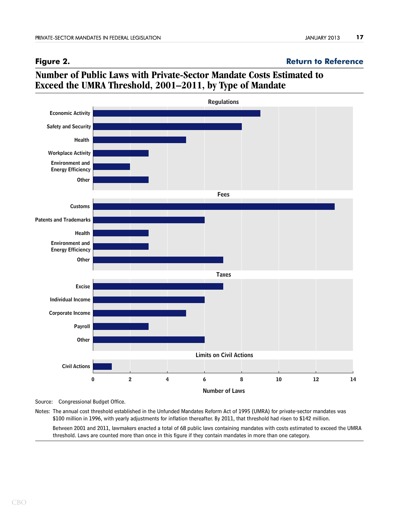### <span id="page-16-0"></span>**Figure 2. [Return to Reference](#page-10-0)**

# **Number of Public Laws with Private-Sector Mandate Costs Estimated to Exceed the UMRA Threshold, 2001–2011, by Type of Mandate**



Source: Congressional Budget Office.

Notes: The annual cost threshold established in the Unfunded Mandates Reform Act of 1995 (UMRA) for private-sector mandates was \$100 million in 1996, with yearly adjustments for inflation thereafter. By 2011, that threshold had risen to \$142 million.

Between 2001 and 2011, lawmakers enacted a total of 68 public laws containing mandates with costs estimated to exceed the UMRA threshold. Laws are counted more than once in this figure if they contain mandates in more than one category.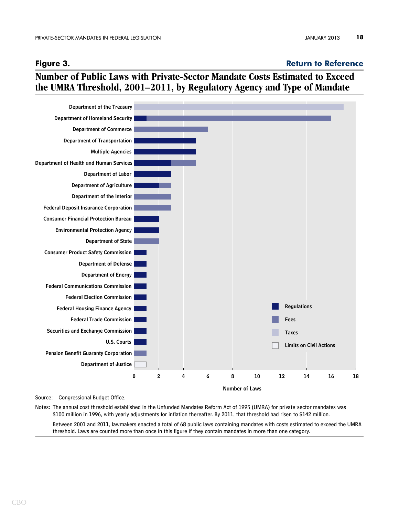### <span id="page-17-0"></span>**Figure 3. [Return to Reference](#page-11-0)**

# **Number of Public Laws with Private-Sector Mandate Costs Estimated to Exceed the UMRA Threshold, 2001–2011, by Regulatory Agency and Type of Mandate**



Source: Congressional Budget Office.

Notes: The annual cost threshold established in the Unfunded Mandates Reform Act of 1995 (UMRA) for private-sector mandates was \$100 million in 1996, with yearly adjustments for inflation thereafter. By 2011, that threshold had risen to \$142 million.

Between 2001 and 2011, lawmakers enacted a total of 68 public laws containing mandates with costs estimated to exceed the UMRA threshold. Laws are counted more than once in this figure if they contain mandates in more than one category.